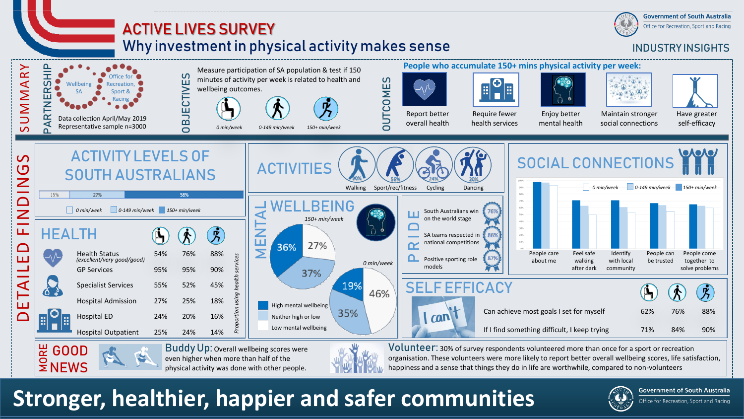

organisation. These volunteers were more likely to report better overall wellbeing scores, life satisfaction, happiness and a sense that things they do in life are worthwhile, compared to non-volunteers

**Stronger, healthier, happier and safer communities**

even higher when more than half of the physical activity was done with other people.



**Government of South Australia**